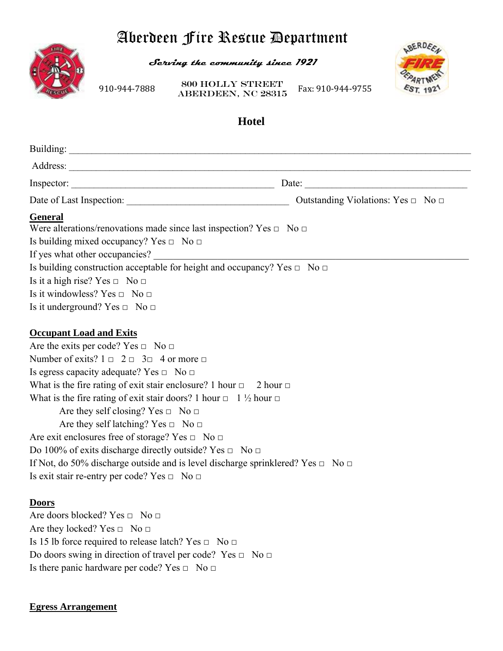# Aberdeen Fire Rescue Department



**Serving the community since 1921** 

910‐944‐7888 **ABERDEEN, NC 28315** Fax: 910‐944‐9755 800 Holly Street



# **Hotel**

|                                                                                                                                                                                                                                                                                                                                                                                                                                                                                                                                                                                                                                                                                                                                                                    | Outstanding Violations: Yes $\Box$ No $\Box$ |
|--------------------------------------------------------------------------------------------------------------------------------------------------------------------------------------------------------------------------------------------------------------------------------------------------------------------------------------------------------------------------------------------------------------------------------------------------------------------------------------------------------------------------------------------------------------------------------------------------------------------------------------------------------------------------------------------------------------------------------------------------------------------|----------------------------------------------|
| <b>General</b><br>Were alterations/renovations made since last inspection? Yes $\Box$ No $\Box$<br>Is building mixed occupancy? Yes $\Box$ No $\Box$<br>If yes what other occupancies?<br>Is building construction acceptable for height and occupancy? Yes $\Box$ No $\Box$<br>Is it a high rise? Yes $\Box$ No $\Box$<br>Is it windowless? Yes $\Box$ No $\Box$<br>Is it underground? Yes $\Box$ No $\Box$                                                                                                                                                                                                                                                                                                                                                       |                                              |
| <b>Occupant Load and Exits</b><br>Are the exits per code? Yes $\Box$ No $\Box$<br>Number of exits? $1 \square 2 \square 3 \square 4$ or more $\square$<br>Is egress capacity adequate? Yes $\Box$ No $\Box$<br>What is the fire rating of exit stair enclosure? 1 hour $\Box$ 2 hour $\Box$<br>What is the fire rating of exit stair doors? 1 hour $\Box$ 1 $\frac{1}{2}$ hour $\Box$<br>Are they self closing? Yes $\Box$ No $\Box$<br>Are they self latching? Yes $\Box$ No $\Box$<br>Are exit enclosures free of storage? Yes $\Box$ No $\Box$<br>Do 100% of exits discharge directly outside? Yes $\Box$ No $\Box$<br>If Not, do 50% discharge outside and is level discharge sprinklered? Yes $\Box$ No $\Box$<br>Is exit stair re-entry per code? Yes □ No □ |                                              |
| <b>Doors</b><br>Are doors blocked? Yes $\Box$ No $\Box$<br>Are they locked? Yes $\Box$ No $\Box$<br>Is 15 lb force required to release latch? Yes $\Box$ No $\Box$<br>Do doors swing in direction of travel per code? Yes $\Box$ No $\Box$<br>Is there panic hardware per code? Yes $\Box$ No $\Box$                                                                                                                                                                                                                                                                                                                                                                                                                                                               |                                              |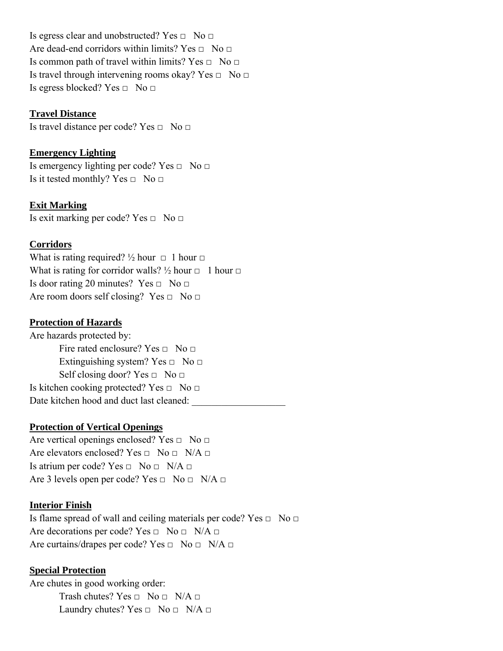Is egress clear and unobstructed? Yes  $\Box$  No  $\Box$ Are dead-end corridors within limits? Yes  $\Box$  No  $\Box$ Is common path of travel within limits? Yes  $\Box$  No  $\Box$ Is travel through intervening rooms okay? Yes  $\Box$  No  $\Box$ Is egress blocked? Yes  $\Box$  No  $\Box$ 

#### **Travel Distance**

Is travel distance per code? Yes □ No □

# **Emergency Lighting**

Is emergency lighting per code? Yes  $\Box$  No  $\Box$ Is it tested monthly? Yes  $\Box$  No  $\Box$ 

**Exit Marking**

Is exit marking per code? Yes  $\Box$  No  $\Box$ 

#### **Corridors**

What is rating required?  $\frac{1}{2}$  hour  $\Box$  1 hour  $\Box$ What is rating for corridor walls?  $\frac{1}{2}$  hour  $\Box$  1 hour  $\Box$ Is door rating 20 minutes? Yes  $\Box$  No  $\Box$ Are room doors self closing? Yes  $\Box$  No  $\Box$ 

# **Protection of Hazards**

Are hazards protected by: Fire rated enclosure? Yes  $\Box$  No  $\Box$ Extinguishing system? Yes  $\Box$  No  $\Box$ Self closing door? Yes  $\Box$  No  $\Box$ Is kitchen cooking protected? Yes  $\Box$  No  $\Box$ Date kitchen hood and duct last cleaned:

#### **Protection of Vertical Openings**

Are vertical openings enclosed? Yes  $\Box$  No  $\Box$ Are elevators enclosed? Yes  $\Box$  No  $\Box$  N/A  $\Box$ Is atrium per code? Yes  $\Box$  No  $\Box$  N/A  $\Box$ Are 3 levels open per code? Yes  $\Box$  No  $\Box$  N/A  $\Box$ 

#### **Interior Finish**

Is flame spread of wall and ceiling materials per code? Yes  $\Box$  No  $\Box$ Are decorations per code? Yes  $\Box$  No  $\Box$  N/A  $\Box$ Are curtains/drapes per code? Yes  $\Box$  No  $\Box$  N/A  $\Box$ 

#### **Special Protection**

Are chutes in good working order: Trash chutes? Yes  $\Box$  No  $\Box$  N/A  $\Box$ Laundry chutes? Yes  $\Box$  No  $\Box$  N/A  $\Box$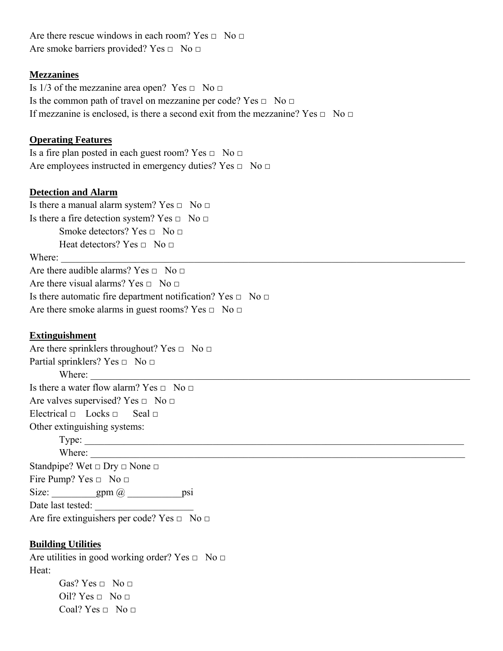Are there rescue windows in each room? Yes  $\Box$  No  $\Box$ Are smoke barriers provided? Yes  $\Box$  No  $\Box$ 

# **Mezzanines**

Is 1/3 of the mezzanine area open? Yes  $\Box$  No  $\Box$ Is the common path of travel on mezzanine per code? Yes  $\Box$  No  $\Box$ If mezzanine is enclosed, is there a second exit from the mezzanine? Yes  $\Box$  No  $\Box$ 

# **Operating Features**

Is a fire plan posted in each guest room? Yes  $\Box$  No  $\Box$ Are employees instructed in emergency duties? Yes  $\Box$  No  $\Box$ 

# **Detection and Alarm**

Is there a manual alarm system? Yes  $\Box$  No  $\Box$ Is there a fire detection system? Yes  $\Box$  No  $\Box$ Smoke detectors? Yes  $\Box$  No  $\Box$ Heat detectors? Yes  $\Box$  No  $\Box$ Where: Are there audible alarms? Yes  $\Box$  No  $\Box$ Are there visual alarms? Yes  $\Box$  No  $\Box$ 

Is there automatic fire department notification? Yes  $\Box$  No  $\Box$ Are there smoke alarms in guest rooms? Yes  $\Box$  No  $\Box$ 

#### **Extinguishment**

Are there sprinklers throughout? Yes  $\Box$  No  $\Box$ Partial sprinklers? Yes  $\Box$  No  $\Box$ Where: Is there a water flow alarm? Yes  $\Box$  No  $\Box$ Are valves supervised? Yes  $\Box$  No  $\Box$ Electrical  $\Box$  Locks  $\Box$  Seal  $\Box$ Other extinguishing systems: Type: \_\_\_\_\_\_\_\_\_\_\_\_\_\_\_\_\_\_\_\_\_\_\_\_\_\_\_\_\_\_\_\_\_\_\_\_\_\_\_\_\_\_\_\_\_\_\_\_\_\_\_\_\_\_\_\_\_\_\_\_\_\_\_\_\_\_\_\_\_\_\_\_\_\_\_\_\_ Where: Standpipe? Wet  $\Box$  Dry  $\Box$  None  $\Box$ Fire Pump? Yes  $\Box$  No  $\Box$ Size:  $\text{gpm} \, \text{a}$  psi Date last tested: Are fire extinguishers per code? Yes  $\Box$  No  $\Box$ 

# **Building Utilities**

Are utilities in good working order? Yes  $\Box$  No  $\Box$ Heat: Gas? Yes  $\Box$  No  $\Box$ Oil? Yes  $\Box$  No  $\Box$ 

Coal? Yes  $\Box$  No  $\Box$